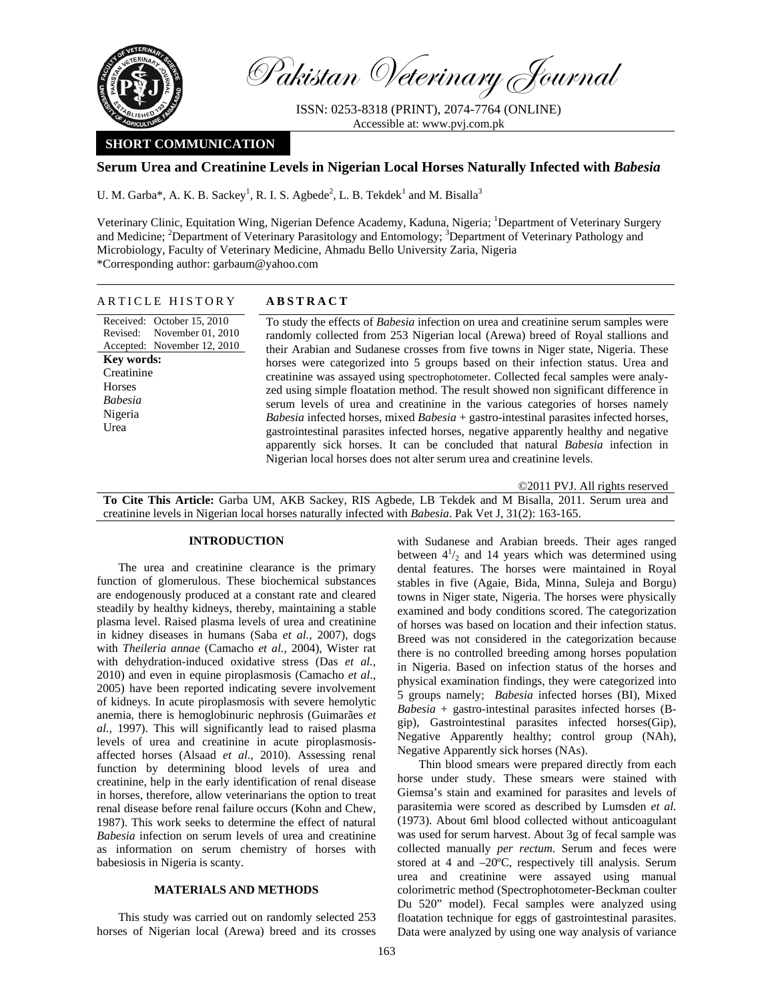

Pakistan Veterinary Journal

ISSN: 0253-8318 (PRINT), 2074-7764 (ONLINE) Accessible at: www.pvj.com.pk

# **SHORT COMMUNICATION**

# **Serum Urea and Creatinine Levels in Nigerian Local Horses Naturally Infected with** *Babesia*

U. M. Garba\*, A. K. B. Sackey<sup>1</sup>, R. I. S. Agbede<sup>2</sup>, L. B. Tekdek<sup>1</sup> and M. Bisalla<sup>3</sup>

Veterinary Clinic, Equitation Wing, Nigerian Defence Academy, Kaduna, Nigeria; <sup>1</sup>Department of Veterinary Surgery and Medicine; <sup>2</sup>Department of Veterinary Parasitology and Entomology; <sup>3</sup>Department of Veterinary Pathology and Microbiology, Faculty of Veterinary Medicine, Ahmadu Bello University Zaria, Nigeria \*Corresponding author: garbaum@yahoo.com

| ARTICLE HISTORY                                                                                                                                                                  | <b>ABSTRACT</b>                                                                                                                                                                                                                                                                                                                                                                                                                                                                                                                                                                                                                                                                                                                                                                                                                                                                                                                                                                   |
|----------------------------------------------------------------------------------------------------------------------------------------------------------------------------------|-----------------------------------------------------------------------------------------------------------------------------------------------------------------------------------------------------------------------------------------------------------------------------------------------------------------------------------------------------------------------------------------------------------------------------------------------------------------------------------------------------------------------------------------------------------------------------------------------------------------------------------------------------------------------------------------------------------------------------------------------------------------------------------------------------------------------------------------------------------------------------------------------------------------------------------------------------------------------------------|
| Received: October 15, 2010<br>Revised: November 01, 2010<br>Accepted: November 12, 2010<br><b>Key words:</b><br>Creatinine<br><b>Horses</b><br><b>Babesia</b><br>Nigeria<br>Urea | To study the effects of <i>Babesia</i> infection on urea and creatinine serum samples were<br>randomly collected from 253 Nigerian local (Arewa) breed of Royal stallions and<br>their Arabian and Sudanese crosses from five towns in Niger state, Nigeria. These<br>horses were categorized into 5 groups based on their infection status. Urea and<br>creatinine was assayed using spectrophotometer. Collected fecal samples were analy-<br>zed using simple floatation method. The result showed non significant difference in<br>serum levels of urea and creatinine in the various categories of horses namely<br><i>Babesia</i> infected horses, mixed $Babesia +$ gastro-intestinal parasites infected horses,<br>gastrointestinal parasites infected horses, negative apparently healthy and negative<br>apparently sick horses. It can be concluded that natural <i>Babesia</i> infection in<br>Nigerian local horses does not alter serum urea and creatinine levels. |

©2011 PVJ. All rights reserved

**To Cite This Article:** Garba UM, AKB Sackey, RIS Agbede, LB Tekdek and M Bisalla, 2011. Serum urea and creatinine levels in Nigerian local horses naturally infected with *Babesia*. Pak Vet J, 31(2): 163-165.

# **INTRODUCTION**

The urea and creatinine clearance is the primary function of glomerulous. These biochemical substances are endogenously produced at a constant rate and cleared steadily by healthy kidneys, thereby, maintaining a stable plasma level. Raised plasma levels of urea and creatinine in kidney diseases in humans (Saba *et al.,* 2007), dogs with *Theileria annae* (Camacho *et al.,* 2004), Wister rat with dehydration-induced oxidative stress (Das *et al.,* 2010) and even in equine piroplasmosis (Camacho *et al*., 2005) have been reported indicating severe involvement of kidneys. In acute piroplasmosis with severe hemolytic anemia, there is hemoglobinuric nephrosis (Guimarães *et al.,* 1997). This will significantly lead to raised plasma levels of urea and creatinine in acute piroplasmosisaffected horses (Alsaad *et al.,* 2010). Assessing renal function by determining blood levels of urea and creatinine, help in the early identification of renal disease in horses, therefore, allow veterinarians the option to treat renal disease before renal failure occurs (Kohn and Chew, 1987). This work seeks to determine the effect of natural *Babesia* infection on serum levels of urea and creatinine as information on serum chemistry of horses with babesiosis in Nigeria is scanty.

### **MATERIALS AND METHODS**

This study was carried out on randomly selected 253 horses of Nigerian local (Arewa) breed and its crosses with Sudanese and Arabian breeds. Their ages ranged between  $4^{1}/_{2}$  and 14 years which was determined using dental features. The horses were maintained in Royal stables in five (Agaie, Bida, Minna, Suleja and Borgu) towns in Niger state, Nigeria. The horses were physically examined and body conditions scored. The categorization of horses was based on location and their infection status. Breed was not considered in the categorization because there is no controlled breeding among horses population in Nigeria. Based on infection status of the horses and physical examination findings, they were categorized into 5 groups namely; *Babesia* infected horses (BI), Mixed *Babesia* + gastro-intestinal parasites infected horses (Bgip), Gastrointestinal parasites infected horses(Gip), Negative Apparently healthy; control group (NAh), Negative Apparently sick horses (NAs).

Thin blood smears were prepared directly from each horse under study. These smears were stained with Giemsa's stain and examined for parasites and levels of parasitemia were scored as described by Lumsden *et al.* (1973). About 6ml blood collected without anticoagulant was used for serum harvest. About 3g of fecal sample was collected manually *per rectum*. Serum and feces were stored at 4 and –20ºC, respectively till analysis. Serum urea and creatinine were assayed using manual colorimetric method (Spectrophotometer-Beckman coulter Du 520" model). Fecal samples were analyzed using floatation technique for eggs of gastrointestinal parasites. Data were analyzed by using one way analysis of variance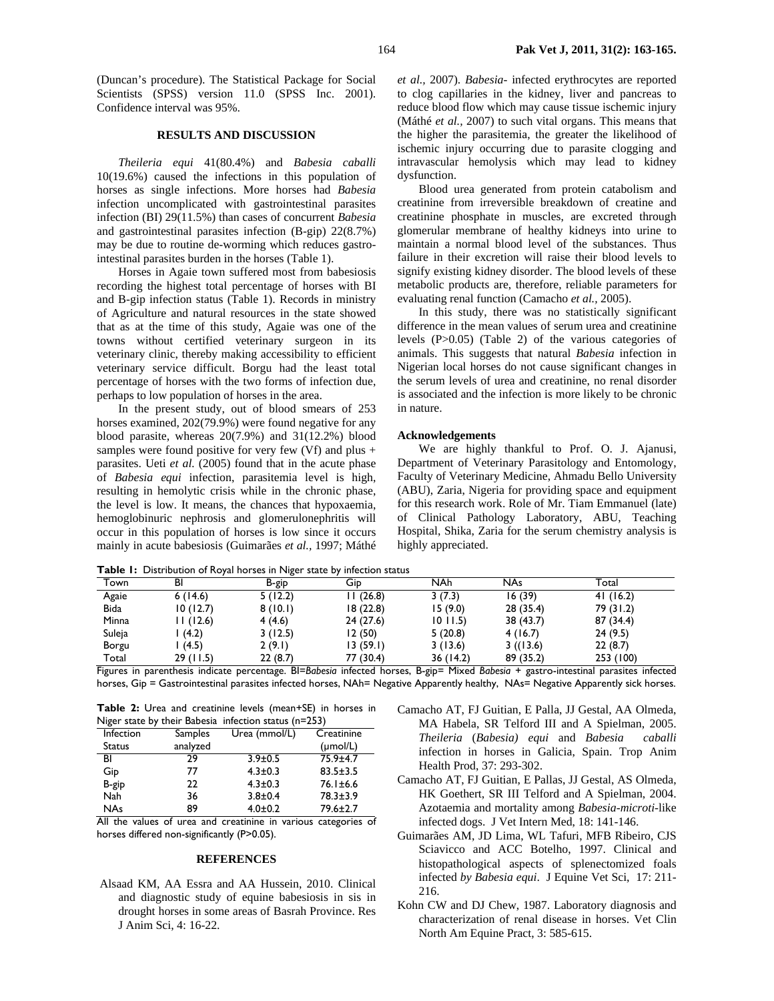(Duncan's procedure). The Statistical Package for Social Scientists (SPSS) version 11.0 (SPSS Inc. 2001). Confidence interval was 95%.

# **RESULTS AND DISCUSSION**

*Theileria equi* 41(80.4%) and *Babesia caballi* 10(19.6%) caused the infections in this population of horses as single infections. More horses had *Babesia* infection uncomplicated with gastrointestinal parasites infection (BI) 29(11.5%) than cases of concurrent *Babesia* and gastrointestinal parasites infection (B-gip) 22(8.7%) may be due to routine de-worming which reduces gastrointestinal parasites burden in the horses (Table 1).

Horses in Agaie town suffered most from babesiosis recording the highest total percentage of horses with BI and B-gip infection status (Table 1). Records in ministry of Agriculture and natural resources in the state showed that as at the time of this study, Agaie was one of the towns without certified veterinary surgeon in its veterinary clinic, thereby making accessibility to efficient veterinary service difficult. Borgu had the least total percentage of horses with the two forms of infection due, perhaps to low population of horses in the area.

In the present study, out of blood smears of 253 horses examined, 202(79.9%) were found negative for any blood parasite, whereas 20(7.9%) and 31(12.2%) blood samples were found positive for very few  $(Vf)$  and plus + parasites. Ueti *et al.* (2005) found that in the acute phase of *Babesia equi* infection, parasitemia level is high, resulting in hemolytic crisis while in the chronic phase, the level is low. It means, the chances that hypoxaemia, hemoglobinuric nephrosis and glomerulonephritis will occur in this population of horses is low since it occurs mainly in acute babesiosis (Guimarães *et al.,* 1997; Máthé *et al.,* 2007). *Babesia-* infected erythrocytes are reported to clog capillaries in the kidney, liver and pancreas to reduce blood flow which may cause tissue ischemic injury (Máthé *et al.,* 2007) to such vital organs. This means that the higher the parasitemia, the greater the likelihood of ischemic injury occurring due to parasite clogging and intravascular hemolysis which may lead to kidney dysfunction.

Blood urea generated from protein catabolism and creatinine from irreversible breakdown of creatine and creatinine phosphate in muscles, are excreted through glomerular membrane of healthy kidneys into urine to maintain a normal blood level of the substances. Thus failure in their excretion will raise their blood levels to signify existing kidney disorder. The blood levels of these metabolic products are, therefore, reliable parameters for evaluating renal function (Camacho *et al.,* 2005).

In this study, there was no statistically significant difference in the mean values of serum urea and creatinine levels (P>0.05) (Table 2) of the various categories of animals. This suggests that natural *Babesia* infection in Nigerian local horses do not cause significant changes in the serum levels of urea and creatinine, no renal disorder is associated and the infection is more likely to be chronic in nature.

### **Acknowledgements**

We are highly thankful to Prof. O. J. Ajanusi, Department of Veterinary Parasitology and Entomology, Faculty of Veterinary Medicine, Ahmadu Bello University (ABU), Zaria, Nigeria for providing space and equipment for this research work. Role of Mr. Tiam Emmanuel (late) of Clinical Pathology Laboratory, ABU, Teaching Hospital, Shika, Zaria for the serum chemistry analysis is highly appreciated.

**Table 1:** Distribution of Royal horses in Niger state by infection status

| <b>NAh</b><br><b>NAs</b><br>Town<br>BI<br>Gid<br>Total<br>B-gip<br>16(39)<br>5(12.2)<br>II (26.8)<br>3(7.3)<br>41(16.2)<br>Agaie<br>6(14.6)<br>10(12.7)<br>18(22.8)<br>28(35.4)<br>79 (31.2)<br>8(10.1)<br>15(9.0)<br><b>Bida</b><br>87 (34.4)<br>Minna<br>11(12.6)<br>24(27.6)<br>4(4.6)<br>38 (43.7)<br>1011.5<br>24(9.5)<br>Suleja<br>(4.2)<br>12 (50)<br>5(20.8)<br>3(12.5)<br>4(16.7)<br>22(8.7)<br>13(59.1)<br>3((13.6))<br>2(9.1)<br>(4.5)<br>3(13.6)<br>Borgu |       |          | <b>I able 1.</b> Distribution of Royal flores in tylger state by imedition status |           |          |           |           |  |
|-----------------------------------------------------------------------------------------------------------------------------------------------------------------------------------------------------------------------------------------------------------------------------------------------------------------------------------------------------------------------------------------------------------------------------------------------------------------------|-------|----------|-----------------------------------------------------------------------------------|-----------|----------|-----------|-----------|--|
|                                                                                                                                                                                                                                                                                                                                                                                                                                                                       |       |          |                                                                                   |           |          |           |           |  |
|                                                                                                                                                                                                                                                                                                                                                                                                                                                                       |       |          |                                                                                   |           |          |           |           |  |
|                                                                                                                                                                                                                                                                                                                                                                                                                                                                       |       |          |                                                                                   |           |          |           |           |  |
|                                                                                                                                                                                                                                                                                                                                                                                                                                                                       |       |          |                                                                                   |           |          |           |           |  |
|                                                                                                                                                                                                                                                                                                                                                                                                                                                                       |       |          |                                                                                   |           |          |           |           |  |
|                                                                                                                                                                                                                                                                                                                                                                                                                                                                       |       |          |                                                                                   |           |          |           |           |  |
|                                                                                                                                                                                                                                                                                                                                                                                                                                                                       | Total | 29(11.5) | 22(8.7)                                                                           | 77 (30.4) | 36(14.2) | 89 (35.2) | 253 (100) |  |

Figures in parenthesis indicate percentage. BI=*Babesia* infected horses, B-gip= Mixed *Babesia* + gastro-intestinal parasites infected horses, Gip = Gastrointestinal parasites infected horses, NAh= Negative Apparently healthy, NAs= Negative Apparently sick horses.

|                                                       |  |  |  |  | Table 2: Urea and creatinine levels (mean+SE) in horses in |  |
|-------------------------------------------------------|--|--|--|--|------------------------------------------------------------|--|
| Niger state by their Babesia infection status (n=253) |  |  |  |  |                                                            |  |

|               |          | $\alpha$ and $\alpha$ and $\alpha$ and $\alpha$ and $\alpha$ in $\alpha$ and $\alpha$ and $\alpha$ and $\alpha$ and $\alpha$ and $\alpha$ and $\alpha$ and $\alpha$ and $\alpha$ and $\alpha$ and $\alpha$ and $\alpha$ and $\alpha$ and $\alpha$ and $\alpha$ and $\alpha$ and $\alpha$ and $\alpha$ and $\alpha$ and $\alpha$ a |                      |
|---------------|----------|-----------------------------------------------------------------------------------------------------------------------------------------------------------------------------------------------------------------------------------------------------------------------------------------------------------------------------------|----------------------|
| Infection     | Samples  | Urea (mmol/L)                                                                                                                                                                                                                                                                                                                     | Creatinine           |
| <b>Status</b> | analyzed |                                                                                                                                                                                                                                                                                                                                   | $(\mu \text{mol/L})$ |
| BI            | 29       | $3.9 \pm 0.5$                                                                                                                                                                                                                                                                                                                     | 75.9±4.7             |
| Gip           | 77       | $4.3 \pm 0.3$                                                                                                                                                                                                                                                                                                                     | $83.5 \pm 3.5$       |
| B-gip         | 22       | $4.3 \pm 0.3$                                                                                                                                                                                                                                                                                                                     | $76.1 \pm 6.6$       |
| <b>Nah</b>    | 36       | $3.8 + 0.4$                                                                                                                                                                                                                                                                                                                       | $78.3 \pm 3.9$       |
| <b>NAs</b>    | 89       | $4.0 \pm 0.2$                                                                                                                                                                                                                                                                                                                     | $79.6 \pm 2.7$       |

All the values of urea and creatinine in various categories of horses differed non-significantly (P>0.05).

#### **REFERENCES**

 Alsaad KM, AA Essra and AA Hussein, 2010. Clinical and diagnostic study of equine babesiosis in sis in drought horses in some areas of Basrah Province. Res J Anim Sci, 4: 16-22.

- Camacho AT, FJ Guitian, E Palla, JJ Gestal, AA Olmeda, MA Habela, SR Telford III and A Spielman, 2005. *Theileria* (*Babesia) equi* and *Babesia caballi* infection in horses in Galicia, Spain. Trop Anim Health Prod, 37: 293-302.
- Camacho AT, FJ Guitian, E Pallas, JJ Gestal, AS Olmeda, HK Goethert, SR III Telford and A Spielman, 2004. Azotaemia and mortality among *Babesia-microti*-like infected dogs. J Vet Intern Med, 18: 141-146.
- Guimarães AM, JD Lima, WL Tafuri, MFB Ribeiro, CJS Sciavicco and ACC Botelho, 1997. Clinical and histopathological aspects of splenectomized foals infected *by Babesia equi*. J Equine Vet Sci, 17: 211- 216.
- Kohn CW and DJ Chew, 1987. Laboratory diagnosis and characterization of renal disease in horses. Vet Clin North Am Equine Pract, 3: 585-615.